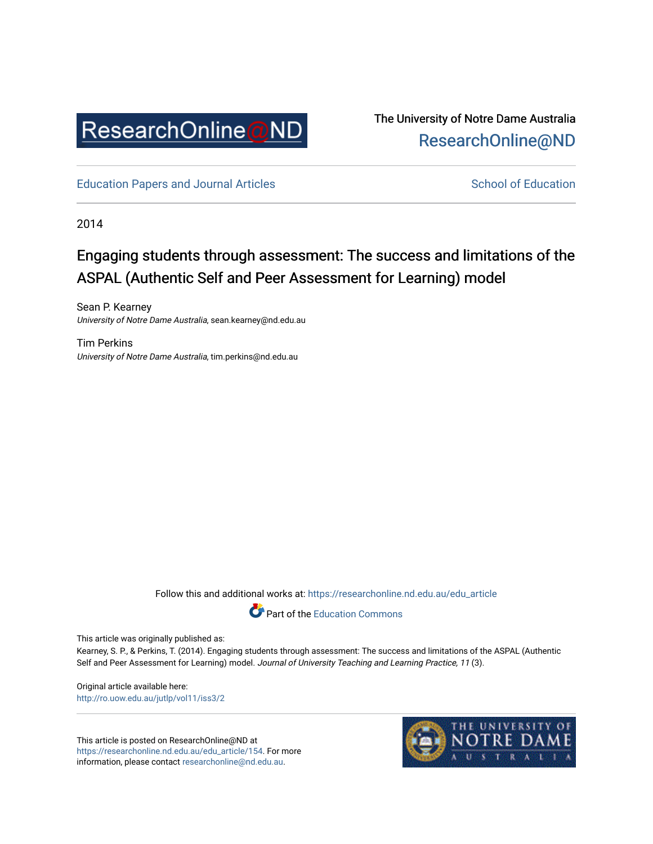

The University of Notre Dame Australia [ResearchOnline@ND](https://researchonline.nd.edu.au/) 

[Education Papers and Journal Articles](https://researchonline.nd.edu.au/edu_article) [School of Education](https://researchonline.nd.edu.au/edu) School of Education

2014

# Engaging students through assessment: The success and limitations of the ASPAL (Authentic Self and Peer Assessment for Learning) model

Sean P. Kearney University of Notre Dame Australia, sean.kearney@nd.edu.au

Tim Perkins University of Notre Dame Australia, tim.perkins@nd.edu.au

Follow this and additional works at: [https://researchonline.nd.edu.au/edu\\_article](https://researchonline.nd.edu.au/edu_article?utm_source=researchonline.nd.edu.au%2Fedu_article%2F154&utm_medium=PDF&utm_campaign=PDFCoverPages)



This article was originally published as:

Kearney, S. P., & Perkins, T. (2014). Engaging students through assessment: The success and limitations of the ASPAL (Authentic Self and Peer Assessment for Learning) model. Journal of University Teaching and Learning Practice, 11 (3).

Original article available here: <http://ro.uow.edu.au/jutlp/vol11/iss3/2>

This article is posted on ResearchOnline@ND at [https://researchonline.nd.edu.au/edu\\_article/154](https://researchonline.nd.edu.au/edu_article/154). For more information, please contact [researchonline@nd.edu.au.](mailto:researchonline@nd.edu.au)

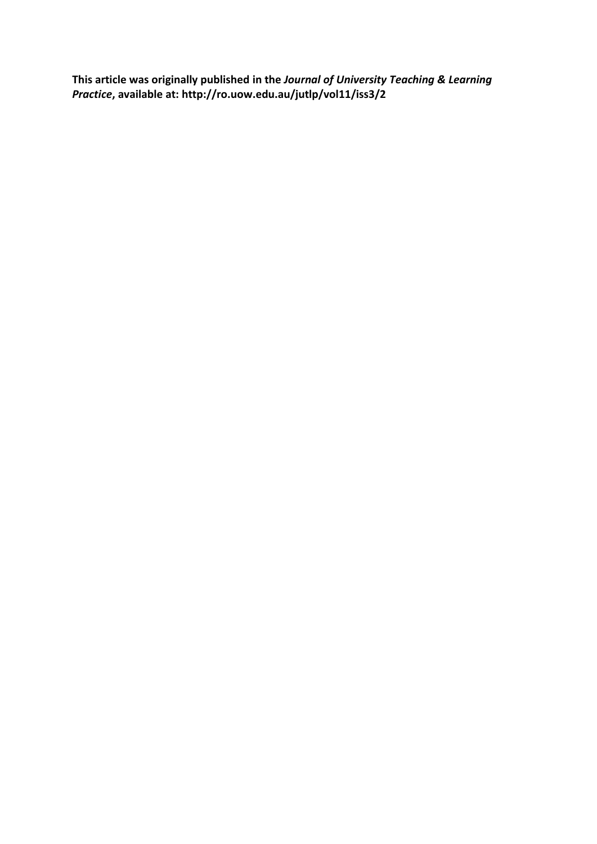**This article was originally published in the** *Journal of University Teaching & Learning Practice***, available at: http://ro.uow.edu.au/jutlp/vol11/iss3/2**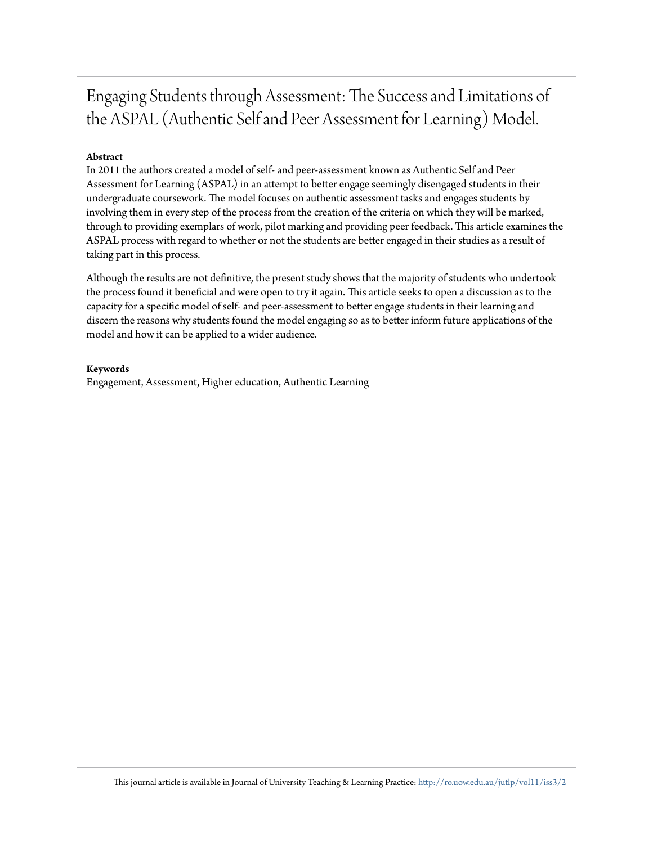# Engaging Students through Assessment: The Success and Limitations of the ASPAL (Authentic Self and Peer Assessment for Learning) Model.

### **Abstract**

In 2011 the authors created a model of self- and peer-assessment known as Authentic Self and Peer Assessment for Learning (ASPAL) in an attempt to better engage seemingly disengaged students in their undergraduate coursework. The model focuses on authentic assessment tasks and engages students by involving them in every step of the process from the creation of the criteria on which they will be marked, through to providing exemplars of work, pilot marking and providing peer feedback. This article examines the ASPAL process with regard to whether or not the students are better engaged in their studies as a result of taking part in this process.

Although the results are not definitive, the present study shows that the majority of students who undertook the process found it beneficial and were open to try it again. This article seeks to open a discussion as to the capacity for a specific model of self- and peer-assessment to better engage students in their learning and discern the reasons why students found the model engaging so as to better inform future applications of the model and how it can be applied to a wider audience.

#### **Keywords**

Engagement, Assessment, Higher education, Authentic Learning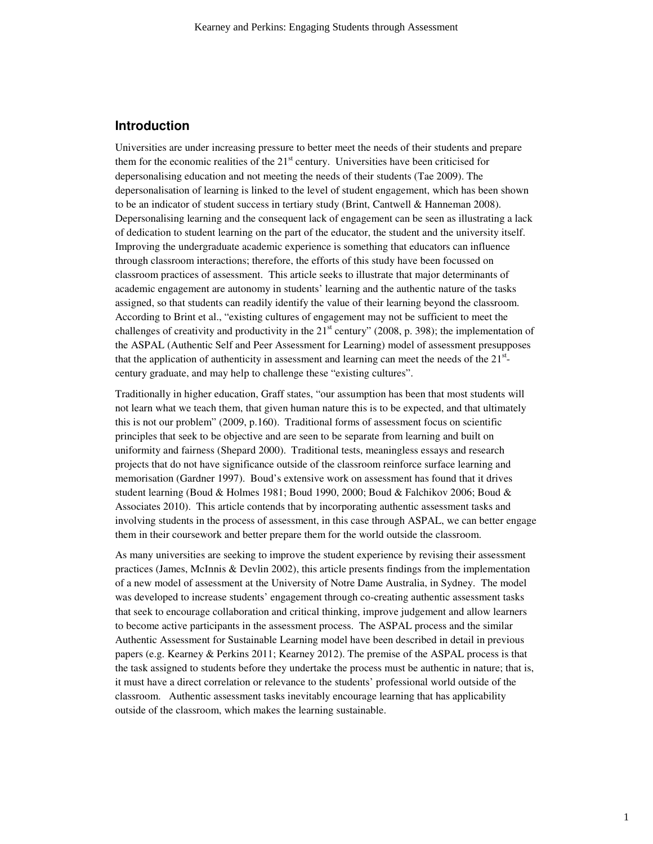## **Introduction**

Universities are under increasing pressure to better meet the needs of their students and prepare them for the economic realities of the  $21<sup>st</sup>$  century. Universities have been criticised for depersonalising education and not meeting the needs of their students (Tae 2009). The depersonalisation of learning is linked to the level of student engagement, which has been shown to be an indicator of student success in tertiary study (Brint, Cantwell & Hanneman 2008). Depersonalising learning and the consequent lack of engagement can be seen as illustrating a lack of dedication to student learning on the part of the educator, the student and the university itself. Improving the undergraduate academic experience is something that educators can influence through classroom interactions; therefore, the efforts of this study have been focussed on classroom practices of assessment. This article seeks to illustrate that major determinants of academic engagement are autonomy in students' learning and the authentic nature of the tasks assigned, so that students can readily identify the value of their learning beyond the classroom. According to Brint et al., "existing cultures of engagement may not be sufficient to meet the challenges of creativity and productivity in the  $21<sup>st</sup>$  century" (2008, p. 398); the implementation of the ASPAL (Authentic Self and Peer Assessment for Learning) model of assessment presupposes that the application of authenticity in assessment and learning can meet the needs of the  $21<sup>st</sup>$ . century graduate, and may help to challenge these "existing cultures".

Traditionally in higher education, Graff states, "our assumption has been that most students will not learn what we teach them, that given human nature this is to be expected, and that ultimately this is not our problem" (2009, p.160). Traditional forms of assessment focus on scientific principles that seek to be objective and are seen to be separate from learning and built on uniformity and fairness (Shepard 2000). Traditional tests, meaningless essays and research projects that do not have significance outside of the classroom reinforce surface learning and memorisation (Gardner 1997). Boud's extensive work on assessment has found that it drives student learning (Boud & Holmes 1981; Boud 1990, 2000; Boud & Falchikov 2006; Boud & Associates 2010). This article contends that by incorporating authentic assessment tasks and involving students in the process of assessment, in this case through ASPAL, we can better engage them in their coursework and better prepare them for the world outside the classroom.

As many universities are seeking to improve the student experience by revising their assessment practices (James, McInnis & Devlin 2002), this article presents findings from the implementation of a new model of assessment at the University of Notre Dame Australia, in Sydney. The model was developed to increase students' engagement through co-creating authentic assessment tasks that seek to encourage collaboration and critical thinking, improve judgement and allow learners to become active participants in the assessment process. The ASPAL process and the similar Authentic Assessment for Sustainable Learning model have been described in detail in previous papers (e.g. Kearney & Perkins 2011; Kearney 2012). The premise of the ASPAL process is that the task assigned to students before they undertake the process must be authentic in nature; that is, it must have a direct correlation or relevance to the students' professional world outside of the classroom. Authentic assessment tasks inevitably encourage learning that has applicability outside of the classroom, which makes the learning sustainable.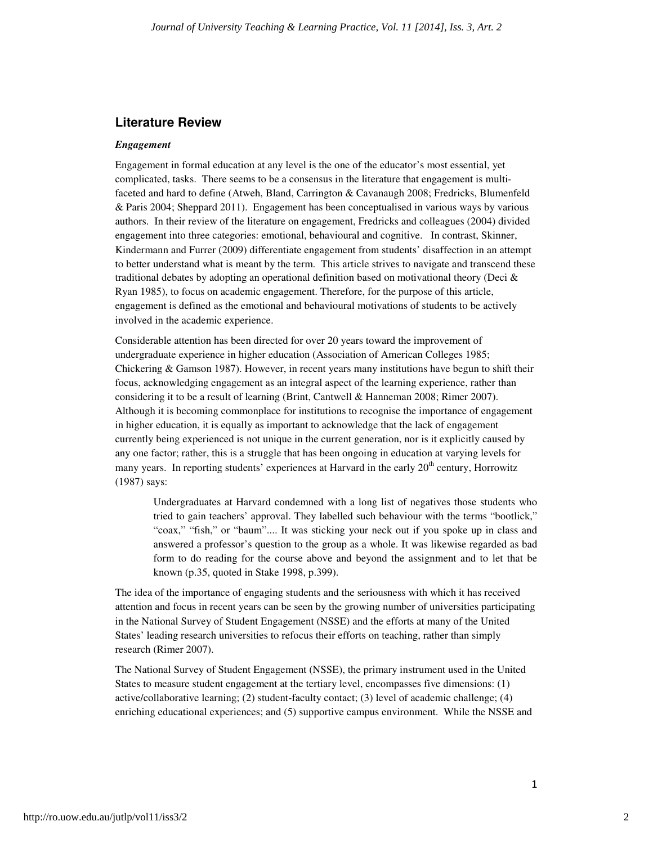## **Literature Review**

#### *Engagement*

Engagement in formal education at any level is the one of the educator's most essential, yet complicated, tasks. There seems to be a consensus in the literature that engagement is multifaceted and hard to define (Atweh, Bland, Carrington & Cavanaugh 2008; Fredricks, Blumenfeld & Paris 2004; Sheppard 2011). Engagement has been conceptualised in various ways by various authors. In their review of the literature on engagement, Fredricks and colleagues (2004) divided engagement into three categories: emotional, behavioural and cognitive. In contrast, Skinner, Kindermann and Furrer (2009) differentiate engagement from students' disaffection in an attempt to better understand what is meant by the term. This article strives to navigate and transcend these traditional debates by adopting an operational definition based on motivational theory (Deci & Ryan 1985), to focus on academic engagement. Therefore, for the purpose of this article, engagement is defined as the emotional and behavioural motivations of students to be actively involved in the academic experience.

Considerable attention has been directed for over 20 years toward the improvement of undergraduate experience in higher education (Association of American Colleges 1985; Chickering & Gamson 1987). However, in recent years many institutions have begun to shift their focus, acknowledging engagement as an integral aspect of the learning experience, rather than considering it to be a result of learning (Brint, Cantwell & Hanneman 2008; Rimer 2007). Although it is becoming commonplace for institutions to recognise the importance of engagement in higher education, it is equally as important to acknowledge that the lack of engagement currently being experienced is not unique in the current generation, nor is it explicitly caused by any one factor; rather, this is a struggle that has been ongoing in education at varying levels for many years. In reporting students' experiences at Harvard in the early 20<sup>th</sup> century, Horrowitz (1987) says:

Undergraduates at Harvard condemned with a long list of negatives those students who tried to gain teachers' approval. They labelled such behaviour with the terms "bootlick," "coax," "fish," or "baum".... It was sticking your neck out if you spoke up in class and answered a professor's question to the group as a whole. It was likewise regarded as bad form to do reading for the course above and beyond the assignment and to let that be known (p.35, quoted in Stake 1998, p.399).

The idea of the importance of engaging students and the seriousness with which it has received attention and focus in recent years can be seen by the growing number of universities participating in the National Survey of Student Engagement (NSSE) and the efforts at many of the United States' leading research universities to refocus their efforts on teaching, rather than simply research (Rimer 2007).

The National Survey of Student Engagement (NSSE), the primary instrument used in the United States to measure student engagement at the tertiary level, encompasses five dimensions: (1) active/collaborative learning; (2) student-faculty contact; (3) level of academic challenge; (4) enriching educational experiences; and (5) supportive campus environment. While the NSSE and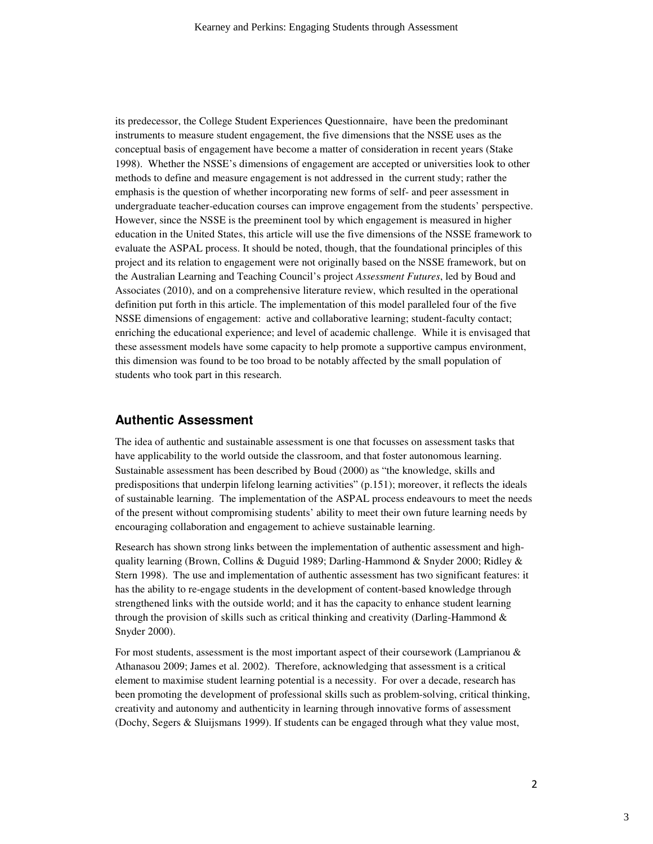its predecessor, the College Student Experiences Questionnaire, have been the predominant instruments to measure student engagement, the five dimensions that the NSSE uses as the conceptual basis of engagement have become a matter of consideration in recent years (Stake 1998). Whether the NSSE's dimensions of engagement are accepted or universities look to other methods to define and measure engagement is not addressed in the current study; rather the emphasis is the question of whether incorporating new forms of self- and peer assessment in undergraduate teacher-education courses can improve engagement from the students' perspective. However, since the NSSE is the preeminent tool by which engagement is measured in higher education in the United States, this article will use the five dimensions of the NSSE framework to evaluate the ASPAL process. It should be noted, though, that the foundational principles of this project and its relation to engagement were not originally based on the NSSE framework, but on the Australian Learning and Teaching Council's project *Assessment Futures*, led by Boud and Associates (2010), and on a comprehensive literature review, which resulted in the operational definition put forth in this article. The implementation of this model paralleled four of the five NSSE dimensions of engagement: active and collaborative learning; student-faculty contact; enriching the educational experience; and level of academic challenge. While it is envisaged that these assessment models have some capacity to help promote a supportive campus environment, this dimension was found to be too broad to be notably affected by the small population of students who took part in this research.

#### **Authentic Assessment**

The idea of authentic and sustainable assessment is one that focusses on assessment tasks that have applicability to the world outside the classroom, and that foster autonomous learning. Sustainable assessment has been described by Boud (2000) as "the knowledge, skills and predispositions that underpin lifelong learning activities" (p.151); moreover, it reflects the ideals of sustainable learning. The implementation of the ASPAL process endeavours to meet the needs of the present without compromising students' ability to meet their own future learning needs by encouraging collaboration and engagement to achieve sustainable learning.

Research has shown strong links between the implementation of authentic assessment and highquality learning (Brown, Collins & Duguid 1989; Darling-Hammond & Snyder 2000; Ridley & Stern 1998). The use and implementation of authentic assessment has two significant features: it has the ability to re-engage students in the development of content-based knowledge through strengthened links with the outside world; and it has the capacity to enhance student learning through the provision of skills such as critical thinking and creativity (Darling-Hammond  $\&$ Snyder 2000).

For most students, assessment is the most important aspect of their coursework (Lamprianou  $\&$ Athanasou 2009; James et al. 2002). Therefore, acknowledging that assessment is a critical element to maximise student learning potential is a necessity. For over a decade, research has been promoting the development of professional skills such as problem-solving, critical thinking, creativity and autonomy and authenticity in learning through innovative forms of assessment (Dochy, Segers & Sluijsmans 1999). If students can be engaged through what they value most,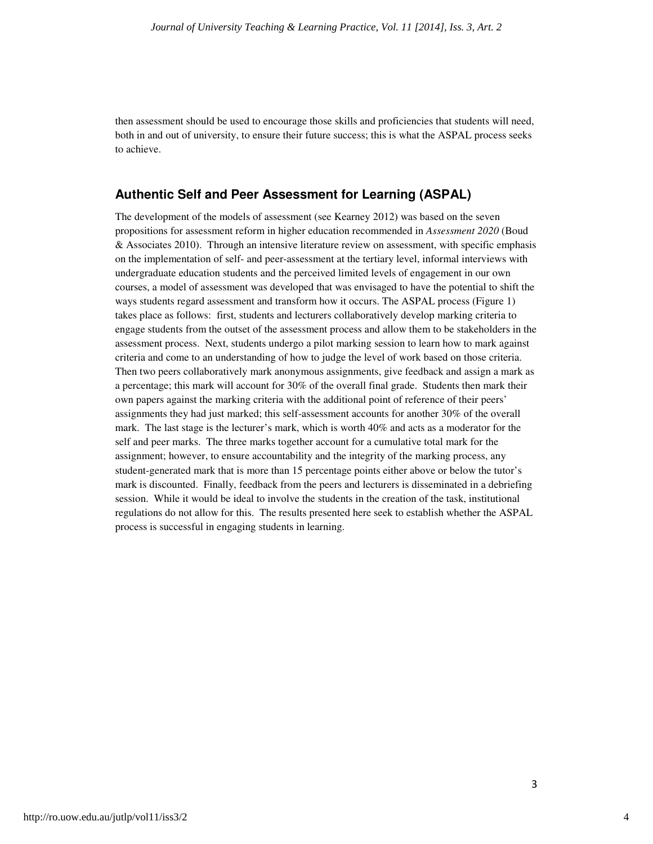then assessment should be used to encourage those skills and proficiencies that students will need, both in and out of university, to ensure their future success; this is what the ASPAL process seeks to achieve.

#### **Authentic Self and Peer Assessment for Learning (ASPAL)**

The development of the models of assessment (see Kearney 2012) was based on the seven propositions for assessment reform in higher education recommended in *Assessment 2020* (Boud & Associates 2010). Through an intensive literature review on assessment, with specific emphasis on the implementation of self- and peer-assessment at the tertiary level, informal interviews with undergraduate education students and the perceived limited levels of engagement in our own courses, a model of assessment was developed that was envisaged to have the potential to shift the ways students regard assessment and transform how it occurs. The ASPAL process (Figure 1) takes place as follows: first, students and lecturers collaboratively develop marking criteria to engage students from the outset of the assessment process and allow them to be stakeholders in the assessment process. Next, students undergo a pilot marking session to learn how to mark against criteria and come to an understanding of how to judge the level of work based on those criteria. Then two peers collaboratively mark anonymous assignments, give feedback and assign a mark as a percentage; this mark will account for 30% of the overall final grade. Students then mark their own papers against the marking criteria with the additional point of reference of their peers' assignments they had just marked; this self-assessment accounts for another 30% of the overall mark. The last stage is the lecturer's mark, which is worth 40% and acts as a moderator for the self and peer marks. The three marks together account for a cumulative total mark for the assignment; however, to ensure accountability and the integrity of the marking process, any student-generated mark that is more than 15 percentage points either above or below the tutor's mark is discounted. Finally, feedback from the peers and lecturers is disseminated in a debriefing session. While it would be ideal to involve the students in the creation of the task, institutional regulations do not allow for this. The results presented here seek to establish whether the ASPAL process is successful in engaging students in learning.

4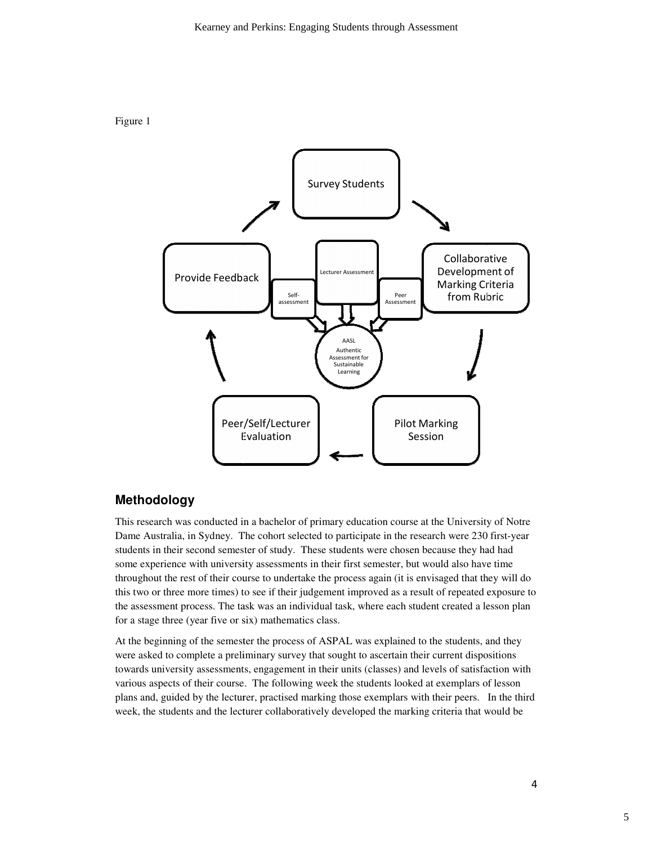



# **Methodology**

This research was conducted in a bachelor of primary education course at the University of Notre This research was conducted in a bachelor of primary education course at the University of Notre<br>Dame Australia, in Sydney. The cohort selected to participate in the research were 230 first-year students in their second semester of study. These students were chosen because they had had some experience with university assessments in their first semester, but would also have time throughout the rest of their course to undertake the process again (it is envisaged that they will do this two or three more times) to see if their judgement improved as a result of repeated exposure to the assessment process. The task was an individual task, where each student created a lesson plan for a stage three (year five or six) mathematics class.

At the beginning of the semester the process of ASPAL was explained to the students, and they were asked to complete a preliminary survey that sought to ascertain their current dispositions were asked to complete a preliminary survey that sought to ascertain their current dispositions<br>towards university assessments, engagement in their units (classes) and levels of satisfaction with various aspects of their course. The following week the students looked at exemplars of lesson various aspects of their course. The following week the students looked at exemplars of lesson<br>plans and, guided by the lecturer, practised marking those exemplars with their peers. In the third week, the students and the lecturer collaboratively developed the marking criteria that would be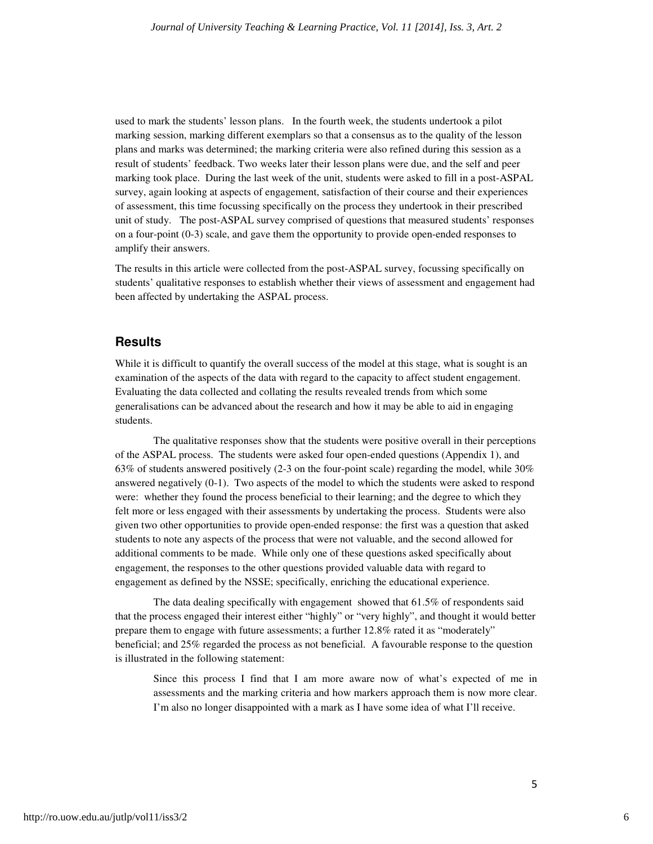used to mark the students' lesson plans. In the fourth week, the students undertook a pilot marking session, marking different exemplars so that a consensus as to the quality of the lesson plans and marks was determined; the marking criteria were also refined during this session as a result of students' feedback. Two weeks later their lesson plans were due, and the self and peer marking took place. During the last week of the unit, students were asked to fill in a post-ASPAL survey, again looking at aspects of engagement, satisfaction of their course and their experiences of assessment, this time focussing specifically on the process they undertook in their prescribed unit of study. The post-ASPAL survey comprised of questions that measured students' responses on a four-point (0-3) scale, and gave them the opportunity to provide open-ended responses to amplify their answers.

The results in this article were collected from the post-ASPAL survey, focussing specifically on students' qualitative responses to establish whether their views of assessment and engagement had been affected by undertaking the ASPAL process.

#### **Results**

While it is difficult to quantify the overall success of the model at this stage, what is sought is an examination of the aspects of the data with regard to the capacity to affect student engagement. Evaluating the data collected and collating the results revealed trends from which some generalisations can be advanced about the research and how it may be able to aid in engaging students.

The qualitative responses show that the students were positive overall in their perceptions of the ASPAL process. The students were asked four open-ended questions (Appendix 1), and 63% of students answered positively (2-3 on the four-point scale) regarding the model, while 30% answered negatively (0-1). Two aspects of the model to which the students were asked to respond were: whether they found the process beneficial to their learning; and the degree to which they felt more or less engaged with their assessments by undertaking the process. Students were also given two other opportunities to provide open-ended response: the first was a question that asked students to note any aspects of the process that were not valuable, and the second allowed for additional comments to be made. While only one of these questions asked specifically about engagement, the responses to the other questions provided valuable data with regard to engagement as defined by the NSSE; specifically, enriching the educational experience.

The data dealing specifically with engagement showed that 61.5% of respondents said that the process engaged their interest either "highly" or "very highly", and thought it would better prepare them to engage with future assessments; a further 12.8% rated it as "moderately" beneficial; and 25% regarded the process as not beneficial. A favourable response to the question is illustrated in the following statement:

Since this process I find that I am more aware now of what's expected of me in assessments and the marking criteria and how markers approach them is now more clear. I'm also no longer disappointed with a mark as I have some idea of what I'll receive.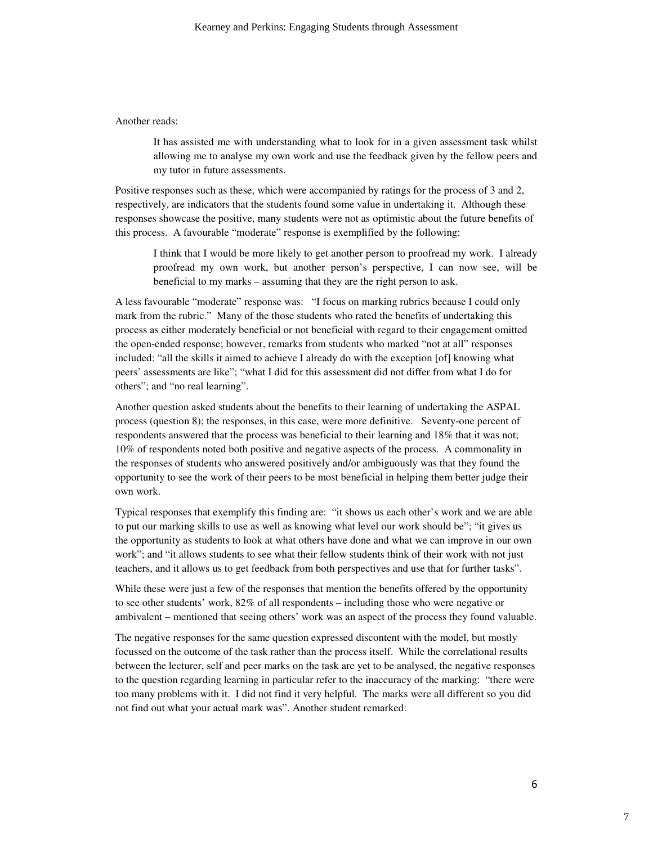#### Another reads:

It has assisted me with understanding what to look for in a given assessment task whilst allowing me to analyse my own work and use the feedback given by the fellow peers and my tutor in future assessments.

Positive responses such as these, which were accompanied by ratings for the process of 3 and 2, respectively, are indicators that the students found some value in undertaking it. Although these responses showcase the positive, many students were not as optimistic about the future benefits of this process. A favourable "moderate" response is exemplified by the following:

I think that I would be more likely to get another person to proofread my work. I already proofread my own work, but another person's perspective, I can now see, will be beneficial to my marks – assuming that they are the right person to ask.

A less favourable "moderate" response was: "I focus on marking rubrics because I could only mark from the rubric." Many of the those students who rated the benefits of undertaking this process as either moderately beneficial or not beneficial with regard to their engagement omitted the open-ended response; however, remarks from students who marked "not at all" responses included: "all the skills it aimed to achieve I already do with the exception [of] knowing what peers' assessments are like"; "what I did for this assessment did not differ from what I do for others"; and "no real learning".

Another question asked students about the benefits to their learning of undertaking the ASPAL process (question 8); the responses, in this case, were more definitive. Seventy-one percent of respondents answered that the process was beneficial to their learning and 18% that it was not; 10% of respondents noted both positive and negative aspects of the process. A commonality in the responses of students who answered positively and/or ambiguously was that they found the opportunity to see the work of their peers to be most beneficial in helping them better judge their own work.

Typical responses that exemplify this finding are: "it shows us each other's work and we are able to put our marking skills to use as well as knowing what level our work should be"; "it gives us the opportunity as students to look at what others have done and what we can improve in our own work"; and "it allows students to see what their fellow students think of their work with not just teachers, and it allows us to get feedback from both perspectives and use that for further tasks".

While these were just a few of the responses that mention the benefits offered by the opportunity to see other students' work, 82% of all respondents – including those who were negative or ambivalent – mentioned that seeing others' work was an aspect of the process they found valuable.

The negative responses for the same question expressed discontent with the model, but mostly focussed on the outcome of the task rather than the process itself. While the correlational results between the lecturer, self and peer marks on the task are yet to be analysed, the negative responses to the question regarding learning in particular refer to the inaccuracy of the marking: "there were too many problems with it. I did not find it very helpful. The marks were all different so you did not find out what your actual mark was". Another student remarked: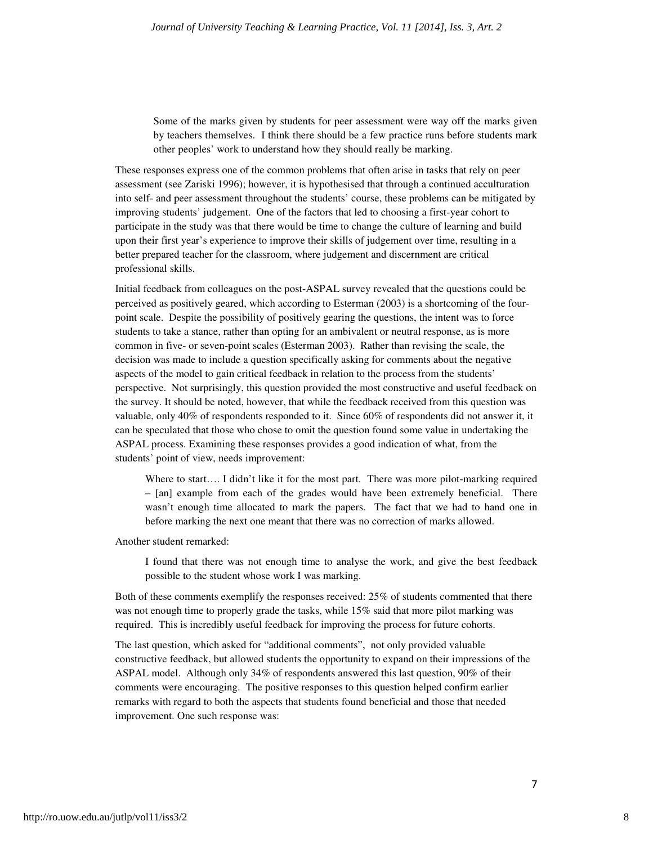Some of the marks given by students for peer assessment were way off the marks given by teachers themselves. I think there should be a few practice runs before students mark other peoples' work to understand how they should really be marking.

These responses express one of the common problems that often arise in tasks that rely on peer assessment (see Zariski 1996); however, it is hypothesised that through a continued acculturation into self- and peer assessment throughout the students' course, these problems can be mitigated by improving students' judgement. One of the factors that led to choosing a first-year cohort to participate in the study was that there would be time to change the culture of learning and build upon their first year's experience to improve their skills of judgement over time, resulting in a better prepared teacher for the classroom, where judgement and discernment are critical professional skills.

Initial feedback from colleagues on the post-ASPAL survey revealed that the questions could be perceived as positively geared, which according to Esterman (2003) is a shortcoming of the fourpoint scale. Despite the possibility of positively gearing the questions, the intent was to force students to take a stance, rather than opting for an ambivalent or neutral response, as is more common in five- or seven-point scales (Esterman 2003). Rather than revising the scale, the decision was made to include a question specifically asking for comments about the negative aspects of the model to gain critical feedback in relation to the process from the students' perspective. Not surprisingly, this question provided the most constructive and useful feedback on the survey. It should be noted, however, that while the feedback received from this question was valuable, only 40% of respondents responded to it. Since 60% of respondents did not answer it, it can be speculated that those who chose to omit the question found some value in undertaking the ASPAL process. Examining these responses provides a good indication of what, from the students' point of view, needs improvement:

Where to start…. I didn't like it for the most part. There was more pilot-marking required – [an] example from each of the grades would have been extremely beneficial. There wasn't enough time allocated to mark the papers. The fact that we had to hand one in before marking the next one meant that there was no correction of marks allowed.

Another student remarked:

I found that there was not enough time to analyse the work, and give the best feedback possible to the student whose work I was marking.

Both of these comments exemplify the responses received: 25% of students commented that there was not enough time to properly grade the tasks, while 15% said that more pilot marking was required. This is incredibly useful feedback for improving the process for future cohorts.

The last question, which asked for "additional comments", not only provided valuable constructive feedback, but allowed students the opportunity to expand on their impressions of the ASPAL model. Although only 34% of respondents answered this last question, 90% of their comments were encouraging. The positive responses to this question helped confirm earlier remarks with regard to both the aspects that students found beneficial and those that needed improvement. One such response was: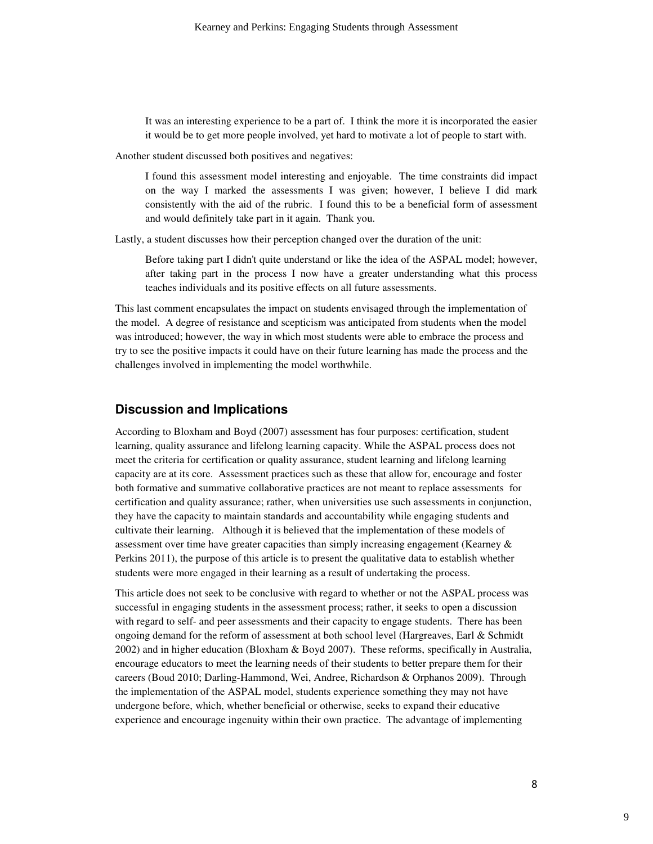It was an interesting experience to be a part of. I think the more it is incorporated the easier it would be to get more people involved, yet hard to motivate a lot of people to start with.

Another student discussed both positives and negatives:

I found this assessment model interesting and enjoyable. The time constraints did impact on the way I marked the assessments I was given; however, I believe I did mark consistently with the aid of the rubric. I found this to be a beneficial form of assessment and would definitely take part in it again. Thank you.

Lastly, a student discusses how their perception changed over the duration of the unit:

Before taking part I didn't quite understand or like the idea of the ASPAL model; however, after taking part in the process I now have a greater understanding what this process teaches individuals and its positive effects on all future assessments.

This last comment encapsulates the impact on students envisaged through the implementation of the model. A degree of resistance and scepticism was anticipated from students when the model was introduced; however, the way in which most students were able to embrace the process and try to see the positive impacts it could have on their future learning has made the process and the challenges involved in implementing the model worthwhile.

### **Discussion and Implications**

According to Bloxham and Boyd (2007) assessment has four purposes: certification, student learning, quality assurance and lifelong learning capacity. While the ASPAL process does not meet the criteria for certification or quality assurance, student learning and lifelong learning capacity are at its core. Assessment practices such as these that allow for, encourage and foster both formative and summative collaborative practices are not meant to replace assessments for certification and quality assurance; rather, when universities use such assessments in conjunction, they have the capacity to maintain standards and accountability while engaging students and cultivate their learning. Although it is believed that the implementation of these models of assessment over time have greater capacities than simply increasing engagement (Kearney & Perkins 2011), the purpose of this article is to present the qualitative data to establish whether students were more engaged in their learning as a result of undertaking the process.

This article does not seek to be conclusive with regard to whether or not the ASPAL process was successful in engaging students in the assessment process; rather, it seeks to open a discussion with regard to self- and peer assessments and their capacity to engage students. There has been ongoing demand for the reform of assessment at both school level (Hargreaves, Earl & Schmidt 2002) and in higher education (Bloxham & Boyd 2007). These reforms, specifically in Australia, encourage educators to meet the learning needs of their students to better prepare them for their careers (Boud 2010; Darling-Hammond, Wei, Andree, Richardson & Orphanos 2009). Through the implementation of the ASPAL model, students experience something they may not have undergone before, which, whether beneficial or otherwise, seeks to expand their educative experience and encourage ingenuity within their own practice. The advantage of implementing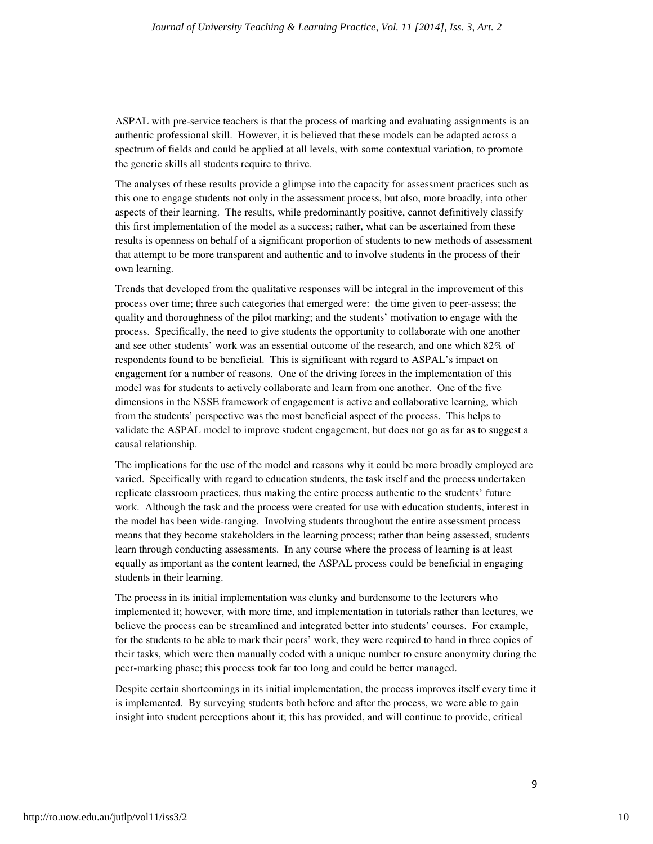ASPAL with pre-service teachers is that the process of marking and evaluating assignments is an authentic professional skill. However, it is believed that these models can be adapted across a spectrum of fields and could be applied at all levels, with some contextual variation, to promote the generic skills all students require to thrive.

The analyses of these results provide a glimpse into the capacity for assessment practices such as this one to engage students not only in the assessment process, but also, more broadly, into other aspects of their learning. The results, while predominantly positive, cannot definitively classify this first implementation of the model as a success; rather, what can be ascertained from these results is openness on behalf of a significant proportion of students to new methods of assessment that attempt to be more transparent and authentic and to involve students in the process of their own learning.

Trends that developed from the qualitative responses will be integral in the improvement of this process over time; three such categories that emerged were: the time given to peer-assess; the quality and thoroughness of the pilot marking; and the students' motivation to engage with the process. Specifically, the need to give students the opportunity to collaborate with one another and see other students' work was an essential outcome of the research, and one which 82% of respondents found to be beneficial. This is significant with regard to ASPAL's impact on engagement for a number of reasons. One of the driving forces in the implementation of this model was for students to actively collaborate and learn from one another. One of the five dimensions in the NSSE framework of engagement is active and collaborative learning, which from the students' perspective was the most beneficial aspect of the process. This helps to validate the ASPAL model to improve student engagement, but does not go as far as to suggest a causal relationship.

The implications for the use of the model and reasons why it could be more broadly employed are varied. Specifically with regard to education students, the task itself and the process undertaken replicate classroom practices, thus making the entire process authentic to the students' future work. Although the task and the process were created for use with education students, interest in the model has been wide-ranging. Involving students throughout the entire assessment process means that they become stakeholders in the learning process; rather than being assessed, students learn through conducting assessments. In any course where the process of learning is at least equally as important as the content learned, the ASPAL process could be beneficial in engaging students in their learning.

The process in its initial implementation was clunky and burdensome to the lecturers who implemented it; however, with more time, and implementation in tutorials rather than lectures, we believe the process can be streamlined and integrated better into students' courses. For example, for the students to be able to mark their peers' work, they were required to hand in three copies of their tasks, which were then manually coded with a unique number to ensure anonymity during the peer-marking phase; this process took far too long and could be better managed.

Despite certain shortcomings in its initial implementation, the process improves itself every time it is implemented. By surveying students both before and after the process, we were able to gain insight into student perceptions about it; this has provided, and will continue to provide, critical

9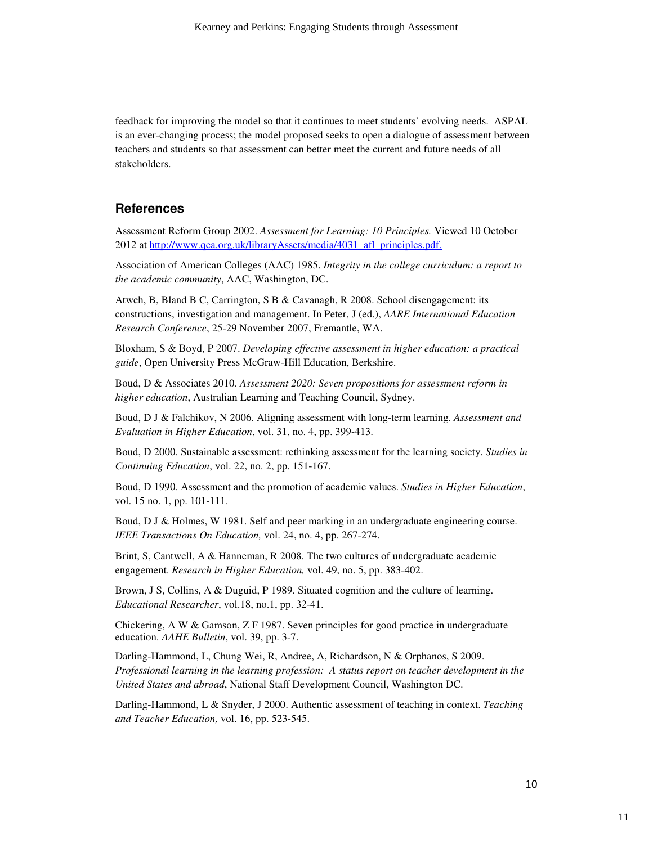feedback for improving the model so that it continues to meet students' evolving needs. ASPAL is an ever-changing process; the model proposed seeks to open a dialogue of assessment between teachers and students so that assessment can better meet the current and future needs of all stakeholders.

### **References**

Assessment Reform Group 2002. *Assessment for Learning: 10 Principles.* Viewed 10 October 2012 at http://www.qca.org.uk/libraryAssets/media/4031\_afl\_principles.pdf.

Association of American Colleges (AAC) 1985. *Integrity in the college curriculum: a report to the academic community*, AAC, Washington, DC.

Atweh, B, Bland B C, Carrington, S B & Cavanagh, R 2008. School disengagement: its constructions, investigation and management. In Peter, J (ed.), *AARE International Education Research Conference*, 25-29 November 2007, Fremantle, WA.

Bloxham, S & Boyd, P 2007. *Developing effective assessment in higher education: a practical guide*, Open University Press McGraw-Hill Education, Berkshire.

Boud, D & Associates 2010. *Assessment 2020: Seven propositions for assessment reform in higher education*, Australian Learning and Teaching Council, Sydney.

Boud, D J & Falchikov, N 2006. Aligning assessment with long-term learning. *Assessment and Evaluation in Higher Education*, vol. 31, no. 4, pp. 399-413.

Boud, D 2000. Sustainable assessment: rethinking assessment for the learning society. *Studies in Continuing Education*, vol. 22, no. 2, pp. 151-167.

Boud, D 1990. Assessment and the promotion of academic values. *Studies in Higher Education*, vol. 15 no. 1, pp. 101-111.

Boud, D J & Holmes, W 1981. Self and peer marking in an undergraduate engineering course. *IEEE Transactions On Education,* vol. 24, no. 4, pp. 267-274.

Brint, S, Cantwell, A & Hanneman, R 2008. The two cultures of undergraduate academic engagement. *Research in Higher Education,* vol. 49, no. 5, pp. 383-402.

Brown, J S, Collins, A & Duguid, P 1989. Situated cognition and the culture of learning. *Educational Researcher*, vol.18, no.1, pp. 32-41.

Chickering, A W & Gamson, Z F 1987. Seven principles for good practice in undergraduate education. *AAHE Bulletin*, vol. 39, pp. 3-7.

Darling-Hammond, L, Chung Wei, R, Andree, A, Richardson, N & Orphanos, S 2009. *Professional learning in the learning profession: A status report on teacher development in the United States and abroad*, National Staff Development Council, Washington DC.

Darling-Hammond, L & Snyder, J 2000. Authentic assessment of teaching in context. *Teaching and Teacher Education,* vol. 16, pp. 523-545.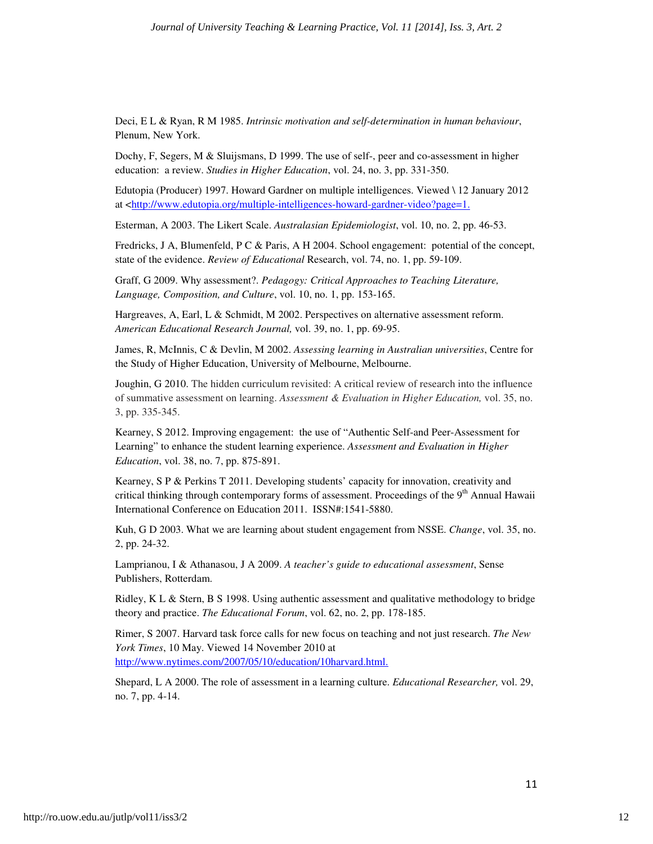Deci, E L & Ryan, R M 1985. *Intrinsic motivation and self-determination in human behaviour*, Plenum, New York.

Dochy, F, Segers, M & Sluijsmans, D 1999. The use of self-, peer and co-assessment in higher education: a review. *Studies in Higher Education*, vol. 24, no. 3, pp. 331-350.

Edutopia (Producer) 1997. Howard Gardner on multiple intelligences. Viewed \ 12 January 2012 at <http://www.edutopia.org/multiple-intelligences-howard-gardner-video?page=1.

Esterman, A 2003. The Likert Scale. *Australasian Epidemiologist*, vol. 10, no. 2, pp. 46-53.

Fredricks, J A, Blumenfeld, P C & Paris, A H 2004. School engagement: potential of the concept, state of the evidence. *Review of Educational* Research, vol. 74, no. 1, pp. 59-109.

Graff, G 2009. Why assessment?. *Pedagogy: Critical Approaches to Teaching Literature, Language, Composition, and Culture*, vol. 10, no. 1, pp. 153-165.

Hargreaves, A, Earl, L & Schmidt, M 2002. Perspectives on alternative assessment reform. *American Educational Research Journal,* vol. 39, no. 1, pp. 69-95.

James, R, McInnis, C & Devlin, M 2002. *Assessing learning in Australian universities*, Centre for the Study of Higher Education, University of Melbourne, Melbourne.

Joughin, G 2010. The hidden curriculum revisited: A critical review of research into the influence of summative assessment on learning. *Assessment & Evaluation in Higher Education,* vol. 35, no. 3, pp. 335-345.

Kearney, S 2012. Improving engagement: the use of "Authentic Self-and Peer-Assessment for Learning" to enhance the student learning experience. *Assessment and Evaluation in Higher Education*, vol. 38, no. 7, pp. 875-891.

Kearney, S P & Perkins T 2011. Developing students' capacity for innovation, creativity and critical thinking through contemporary forms of assessment. Proceedings of the 9<sup>th</sup> Annual Hawaii International Conference on Education 2011. ISSN#:1541-5880.

Kuh, G D 2003. What we are learning about student engagement from NSSE. *Change*, vol. 35, no. 2, pp. 24-32.

Lamprianou, I & Athanasou, J A 2009. *A teacher's guide to educational assessment*, Sense Publishers, Rotterdam.

Ridley, K L & Stern, B S 1998. Using authentic assessment and qualitative methodology to bridge theory and practice. *The Educational Forum*, vol. 62, no. 2, pp. 178-185.

Rimer, S 2007. Harvard task force calls for new focus on teaching and not just research. *The New York Times*, 10 May. Viewed 14 November 2010 at

http://www.nytimes.com/2007/05/10/education/10harvard.html.

Shepard, L A 2000. The role of assessment in a learning culture. *Educational Researcher,* vol. 29, no. 7, pp. 4-14.

11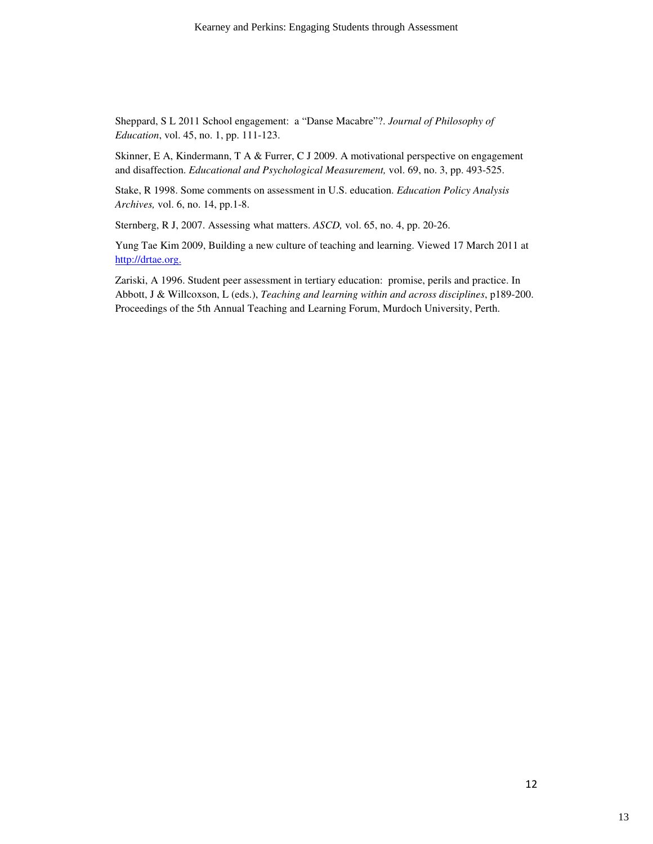Sheppard, S L 2011 School engagement: a "Danse Macabre"?. *Journal of Philosophy of Education*, vol. 45, no. 1, pp. 111-123.

Skinner, E A, Kindermann, T A & Furrer, C J 2009. A motivational perspective on engagement and disaffection. *Educational and Psychological Measurement,* vol. 69, no. 3, pp. 493-525.

Stake, R 1998. Some comments on assessment in U.S. education. *Education Policy Analysis Archives,* vol. 6, no. 14, pp.1-8.

Sternberg, R J, 2007. Assessing what matters. *ASCD,* vol. 65, no. 4, pp. 20-26.

Yung Tae Kim 2009, Building a new culture of teaching and learning. Viewed 17 March 2011 at http://drtae.org.

Zariski, A 1996. Student peer assessment in tertiary education: promise, perils and practice. In Abbott, J & Willcoxson, L (eds.), *Teaching and learning within and across disciplines*, p189-200. Proceedings of the 5th Annual Teaching and Learning Forum, Murdoch University, Perth.